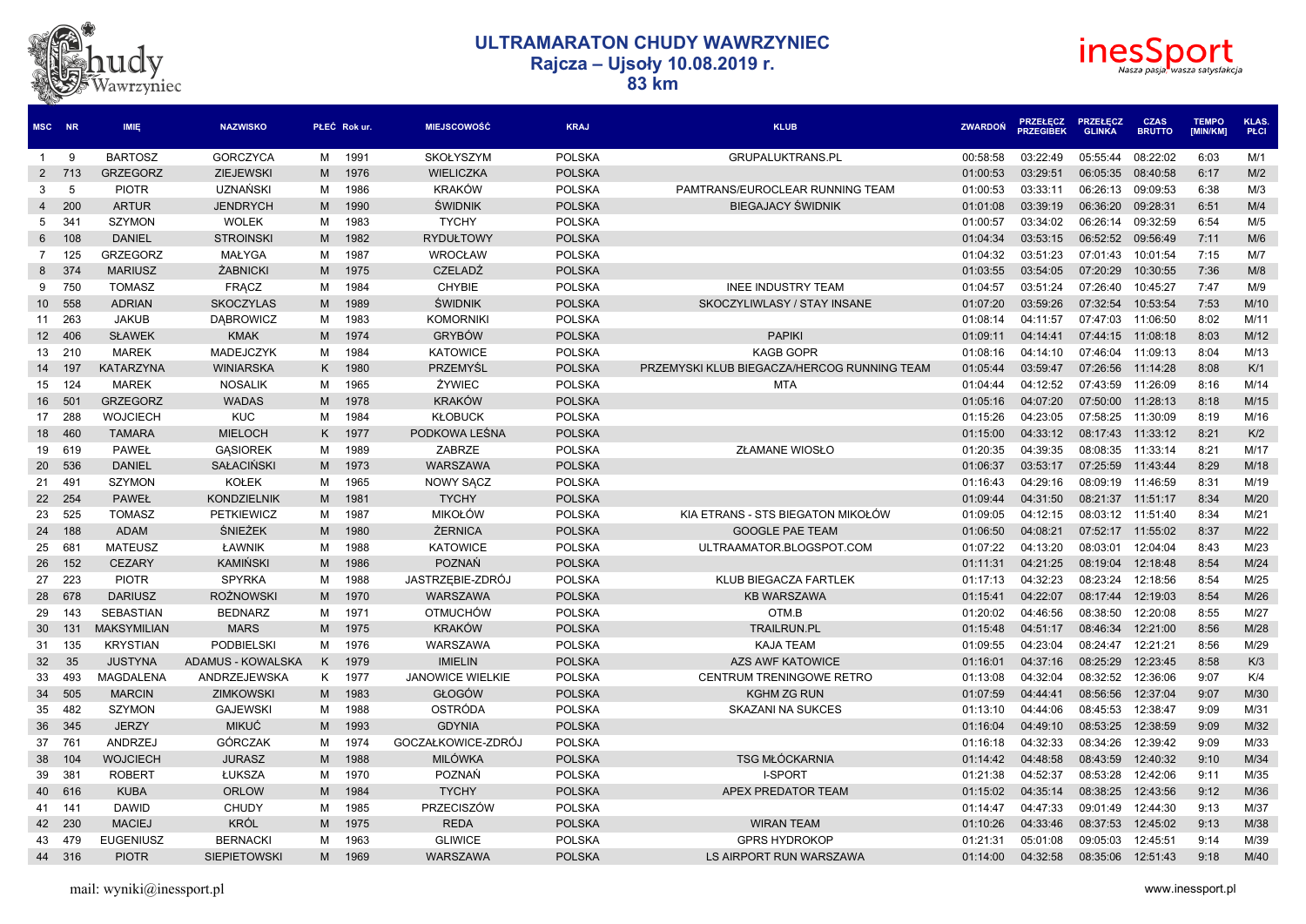



| MSC NR          |        | <b>IMIE</b>        | <b>NAZWISKO</b>     |   | PŁEĆ Rok ur. | <b>MIEJSCOWOŚĆ</b>      | <b>KRAJ</b>   | <b>KLUB</b>                                 | <b>ZWARDON</b> | <b>PRZEŁĘCZ</b><br><b>PRZEGIBEK</b> | <b>PRZEŁĘCZ</b><br><b>GLINKA</b> | <b>CZAS</b><br><b>BRUTTO</b> | <b>TEMPO</b><br><b>IMIN/KMI</b> | <b>KLAS</b><br>PŁCI |
|-----------------|--------|--------------------|---------------------|---|--------------|-------------------------|---------------|---------------------------------------------|----------------|-------------------------------------|----------------------------------|------------------------------|---------------------------------|---------------------|
| $\overline{1}$  | -9     | <b>BARTOSZ</b>     | <b>GORCZYCA</b>     | м | 1991         | SKOŁYSZYM               | <b>POLSKA</b> | GRUPALUKTRANS.PL                            | 00:58:58       | 03:22:49                            | 05:55:44                         | 08:22:02                     | 6:03                            | M/1                 |
| 2               | 713    | <b>GRZEGORZ</b>    | <b>ZIEJEWSKI</b>    | M | 1976         | <b>WIELICZKA</b>        | <b>POLSKA</b> |                                             | 01:00:53       | 03:29:51                            | 06:05:35                         | 08:40:58                     | 6:17                            | M/2                 |
| 3               | 5      | <b>PIOTR</b>       | UZNAŃSKI            | M | 1986         | <b>KRAKÓW</b>           | <b>POLSKA</b> | PAMTRANS/EUROCLEAR RUNNING TEAM             | 01:00:53       | 03:33:11                            | 06:26:13                         | 09:09:53                     | 6:38                            | M/3                 |
| $\overline{4}$  | 200    | <b>ARTUR</b>       | <b>JENDRYCH</b>     | M | 1990         | <b>ŚWIDNIK</b>          | <b>POLSKA</b> | <b>BIEGAJACY ŚWIDNIK</b>                    | 01:01:08       | 03:39:19                            | 06:36:20                         | 09:28:31                     | 6:51                            | M/4                 |
| 5               | 341    | <b>SZYMON</b>      | <b>WOLEK</b>        | м | 1983         | <b>TYCHY</b>            | <b>POLSKA</b> |                                             | 01:00:57       | 03:34:02                            | 06:26:14                         | 09:32:59                     | 6:54                            | M/5                 |
| 6               | 108    | <b>DANIEL</b>      | <b>STROINSKI</b>    | M | 1982         | <b>RYDUŁTOWY</b>        | <b>POLSKA</b> |                                             | 01:04:34       | 03:53:15                            | 06:52:52                         | 09:56:49                     | 7:11                            | M/6                 |
| $\overline{7}$  | 125    | <b>GRZEGORZ</b>    | MAŁYGA              | м | 1987         | <b>WROCŁAW</b>          | <b>POLSKA</b> |                                             | 01:04:32       | 03:51:23                            | 07:01:43                         | 10:01:54                     | 7:15                            | M/7                 |
| 8               | 374    | <b>MARIUSZ</b>     | <b>ŻABNICKI</b>     | M | 1975         | <b>CZELADŹ</b>          | <b>POLSKA</b> |                                             | 01:03:55       | 03:54:05                            | 07:20:29                         | 10:30:55                     | 7:36                            | M/8                 |
| 9               | 750    | <b>TOMASZ</b>      | <b>FRACZ</b>        | м | 1984         | <b>CHYBIE</b>           | <b>POLSKA</b> | <b>INEE INDUSTRY TEAM</b>                   | 01:04:57       | 03:51:24                            | 07:26:40                         | 10:45:27                     | 7:47                            | M/9                 |
| 10 <sup>1</sup> | 558    | <b>ADRIAN</b>      | <b>SKOCZYLAS</b>    | M | 1989         | <b>ŚWIDNIK</b>          | <b>POLSKA</b> | SKOCZYLIWLASY / STAY INSANE                 | 01:07:20       | 03:59:26                            | 07:32:54                         | 10:53:54                     | 7:53                            | M/10                |
|                 | 11 263 | <b>JAKUB</b>       | <b>DABROWICZ</b>    | м | 1983         | <b>KOMORNIKI</b>        | <b>POLSKA</b> |                                             | 01:08:14       | 04:11:57                            | 07:47:03                         | 11:06:50                     | 8:02                            | M/11                |
|                 | 12 406 | <b>SŁAWEK</b>      | <b>KMAK</b>         | M | 1974         | <b>GRYBÓW</b>           | <b>POLSKA</b> | <b>PAPIKI</b>                               | 01:09:11       | 04:14:41                            | 07:44:15                         | 11:08:18                     | 8:03                            | M/12                |
| 13              | 210    | <b>MAREK</b>       | MADEJCZYK           | м | 1984         | <b>KATOWICE</b>         | <b>POLSKA</b> | <b>KAGB GOPR</b>                            | 01:08:16       | 04:14:10                            | 07:46:04                         | 11:09:13                     | 8:04                            | M/13                |
| 14              | 197    | <b>KATARZYNA</b>   | <b>WINIARSKA</b>    | K | 1980         | PRZEMYŚL                | <b>POLSKA</b> | PRZEMYSKI KLUB BIEGACZA/HERCOG RUNNING TEAM | 01:05:44       | 03:59:47                            | 07:26:56                         | 11:14:28                     | 8:08                            | K/1                 |
| 15              | 124    | <b>MAREK</b>       | <b>NOSALIK</b>      | м | 1965         | ŻYWIEC                  | <b>POLSKA</b> | <b>MTA</b>                                  | 01:04:44       | 04:12:52                            | 07:43:59                         | 11:26:09                     | 8:16                            | M/14                |
|                 | 16 501 | <b>GRZEGORZ</b>    | <b>WADAS</b>        | M | 1978         | <b>KRAKÓW</b>           | <b>POLSKA</b> |                                             | 01:05:16       | 04:07:20                            | 07:50:00                         | 11:28:13                     | 8:18                            | M/15                |
| 17              | 288    | <b>WOJCIECH</b>    | <b>KUC</b>          | м | 1984         | <b>KŁOBUCK</b>          | <b>POLSKA</b> |                                             | 01:15:26       | 04:23:05                            | 07:58:25                         | 11:30:09                     | 8:19                            | M/16                |
| 18              | 460    | <b>TAMARA</b>      | <b>MIELOCH</b>      | K | 1977         | PODKOWA LEŚNA           | <b>POLSKA</b> |                                             | 01:15:00       | 04:33:12                            | 08:17:43                         | 11:33:12                     | 8:21                            | K/2                 |
|                 | 19 619 | <b>PAWEŁ</b>       | <b>GASIOREK</b>     | м | 1989         | ZABRZE                  | <b>POLSKA</b> | ZŁAMANE WIOSŁO                              | 01:20:35       | 04:39:35                            | 08:08:35                         | 11:33:14                     | 8:21                            | M/17                |
| 20              | 536    | <b>DANIEL</b>      | <b>SAŁACIŃSKI</b>   | M | 1973         | <b>WARSZAWA</b>         | <b>POLSKA</b> |                                             | 01:06:37       | 03:53:17                            | 07:25:59                         | 11:43:44                     | 8:29                            | M/18                |
| 21 491          |        | <b>SZYMON</b>      | <b>KOŁEK</b>        | м | 1965         | NOWY SACZ               | <b>POLSKA</b> |                                             | 01:16:43       | 04:29:16                            | 08:09:19                         | 11:46:59                     | 8:31                            | M/19                |
|                 | 22 254 | <b>PAWEŁ</b>       | <b>KONDZIELNIK</b>  | M | 1981         | <b>TYCHY</b>            | <b>POLSKA</b> |                                             | 01:09:44       | 04:31:50                            | 08:21:37                         | 11:51:17                     | 8:34                            | M/20                |
| 23              | 525    | <b>TOMASZ</b>      | <b>PETKIEWICZ</b>   | м | 1987         | MIKOŁÓW                 | <b>POLSKA</b> | KIA ETRANS - STS BIEGATON MIKOŁÓW           | 01:09:05       | 04:12:15                            | 08:03:12                         | 11:51:40                     | 8:34                            | M/21                |
| 24              | 188    | <b>ADAM</b>        | ŚNIEŻEK             | M | 1980         | <b>ŻERNICA</b>          | <b>POLSKA</b> | <b>GOOGLE PAE TEAM</b>                      | 01:06:50       | 04:08:21                            | 07:52:17                         | 11:55:02                     | 8:37                            | M/22                |
| 25              | 681    | <b>MATEUSZ</b>     | ŁAWNIK              | M | 1988         | <b>KATOWICE</b>         | <b>POLSKA</b> | ULTRAAMATOR.BLOGSPOT.COM                    | 01:07:22       | 04:13:20                            | 08:03:01                         | 12:04:04                     | 8:43                            | M/23                |
| 26              | 152    | <b>CEZARY</b>      | <b>KAMIŃSKI</b>     | M | 1986         | POZNAŃ                  | <b>POLSKA</b> |                                             | 01:11:31       | 04:21:25                            | 08:19:04                         | 12:18:48                     | 8:54                            | M/24                |
| 27              | 223    | <b>PIOTR</b>       | <b>SPYRKA</b>       | м | 1988         | JASTRZEBIE-ZDRÓJ        | <b>POLSKA</b> | KLUB BIEGACZA FARTLEK                       | 01:17:13       | 04:32:23                            | 08:23:24                         | 12:18:56                     | 8:54                            | M/25                |
| 28              | 678    | <b>DARIUSZ</b>     | <b>ROŻNOWSKI</b>    | M | 1970         | WARSZAWA                | <b>POLSKA</b> | <b>KB WARSZAWA</b>                          | 01:15:41       | 04:22:07                            | 08:17:44                         | 12:19:03                     | 8:54                            | M/26                |
| 29              | 143    | <b>SEBASTIAN</b>   | <b>BEDNARZ</b>      | м | 1971         | OTMUCHÓW                | <b>POLSKA</b> | OTM.B                                       | 01:20:02       | 04:46:56                            | 08:38:50                         | 12:20:08                     | 8:55                            | M/27                |
| 30              | 131    | <b>MAKSYMILIAN</b> | <b>MARS</b>         | M | 1975         | <b>KRAKÓW</b>           | <b>POLSKA</b> | <b>TRAILRUN.PL</b>                          | 01:15:48       | 04:51:17                            | 08:46:34                         | 12:21:00                     | 8:56                            | M/28                |
| 31              | 135    | <b>KRYSTIAN</b>    | <b>PODBIELSKI</b>   | м | 1976         | WARSZAWA                | <b>POLSKA</b> | <b>KAJA TEAM</b>                            | 01:09:55       | 04:23:04                            | 08:24:47                         | 12:21:21                     | 8:56                            | M/29                |
| 32              | 35     | <b>JUSTYNA</b>     | ADAMUS - KOWALSKA   | K | 1979         | <b>IMIELIN</b>          | <b>POLSKA</b> | <b>AZS AWF KATOWICE</b>                     | 01:16:01       | 04:37:16                            | 08:25:29                         | 12:23:45                     | 8:58                            | K/3                 |
| 33              | 493    | <b>MAGDALENA</b>   | ANDRZEJEWSKA        | K | 1977         | <b>JANOWICE WIELKIE</b> | <b>POLSKA</b> | CENTRUM TRENINGOWE RETRO                    | 01:13:08       | 04:32:04                            | 08:32:52                         | 12:36:06                     | 9:07                            | K/4                 |
| 34              | 505    | <b>MARCIN</b>      | <b>ZIMKOWSKI</b>    | M | 1983         | <b>GŁOGÓW</b>           | <b>POLSKA</b> | <b>KGHM ZG RUN</b>                          | 01:07:59       | 04:44:41                            | 08:56:56                         | 12:37:04                     | 9:07                            | M/30                |
| 35              | 482    | <b>SZYMON</b>      | <b>GAJEWSKI</b>     | M | 1988         | OSTRÓDA                 | <b>POLSKA</b> | <b>SKAZANI NA SUKCES</b>                    | 01:13:10       | 04:44:06                            | 08:45:53                         | 12:38:47                     | 9:09                            | M/31                |
| 36              | 345    | <b>JERZY</b>       | <b>MIKUĆ</b>        | M | 1993         | <b>GDYNIA</b>           | <b>POLSKA</b> |                                             | 01:16:04       | 04:49:10                            | 08:53:25                         | 12:38:59                     | 9:09                            | M/32                |
| 37              | 761    | <b>ANDRZEJ</b>     | <b>GÓRCZAK</b>      | м | 1974         | GOCZAŁKOWICE-ZDRÓJ      | <b>POLSKA</b> |                                             | 01:16:18       | 04:32:33                            | 08:34:26                         | 12:39:42                     | 9:09                            | M/33                |
| 38              | 104    | <b>WOJCIECH</b>    | <b>JURASZ</b>       | M | 1988         | <b>MILÓWKA</b>          | <b>POLSKA</b> | <b>TSG MŁÓCKARNIA</b>                       | 01:14:42       | 04:48:58                            | 08:43:59                         | 12:40:32                     | 9:10                            | M/34                |
| 39              | 381    | <b>ROBERT</b>      | ŁUKSZA              | м | 1970         | POZNAŃ                  | <b>POLSKA</b> | I-SPORT                                     | 01:21:38       | 04:52:37                            | 08:53:28                         | 12:42:06                     | 9:11                            | M/35                |
|                 | 40 616 | <b>KUBA</b>        | <b>ORLOW</b>        | M | 1984         | <b>TYCHY</b>            | <b>POLSKA</b> | <b>APEX PREDATOR TEAM</b>                   | 01:15:02       | 04:35:14                            | 08:38:25                         | 12:43:56                     | 9:12                            | M/36                |
| 41 141          |        | <b>DAWID</b>       | <b>CHUDY</b>        | м | 1985         | PRZECISZÓW              | <b>POLSKA</b> |                                             | 01:14:47       | 04:47:33                            | 09:01:49                         | 12:44:30                     | 9:13                            | M/37                |
|                 | 42 230 | <b>MACIEJ</b>      | <b>KRÓL</b>         | M | 1975         | <b>REDA</b>             | <b>POLSKA</b> | <b>WIRAN TEAM</b>                           | 01:10:26       | 04:33:46                            | 08:37:53                         | 12:45:02                     | 9:13                            | M/38                |
| 43              | 479    | <b>EUGENIUSZ</b>   | <b>BERNACKI</b>     | м | 1963         | <b>GLIWICE</b>          | <b>POLSKA</b> | <b>GPRS HYDROKOP</b>                        | 01:21:31       | 05:01:08                            | 09:05:03                         | 12:45:51                     | 9:14                            | M/39                |
|                 | 44 316 | <b>PIOTR</b>       | <b>SIEPIETOWSKI</b> | M | 1969         | WARSZAWA                | <b>POLSKA</b> | LS AIRPORT RUN WARSZAWA                     | 01:14:00       | 04:32:58                            | 08:35:06                         | 12:51:43                     | 9:18                            | M/40                |
|                 |        |                    |                     |   |              |                         |               |                                             |                |                                     |                                  |                              |                                 |                     |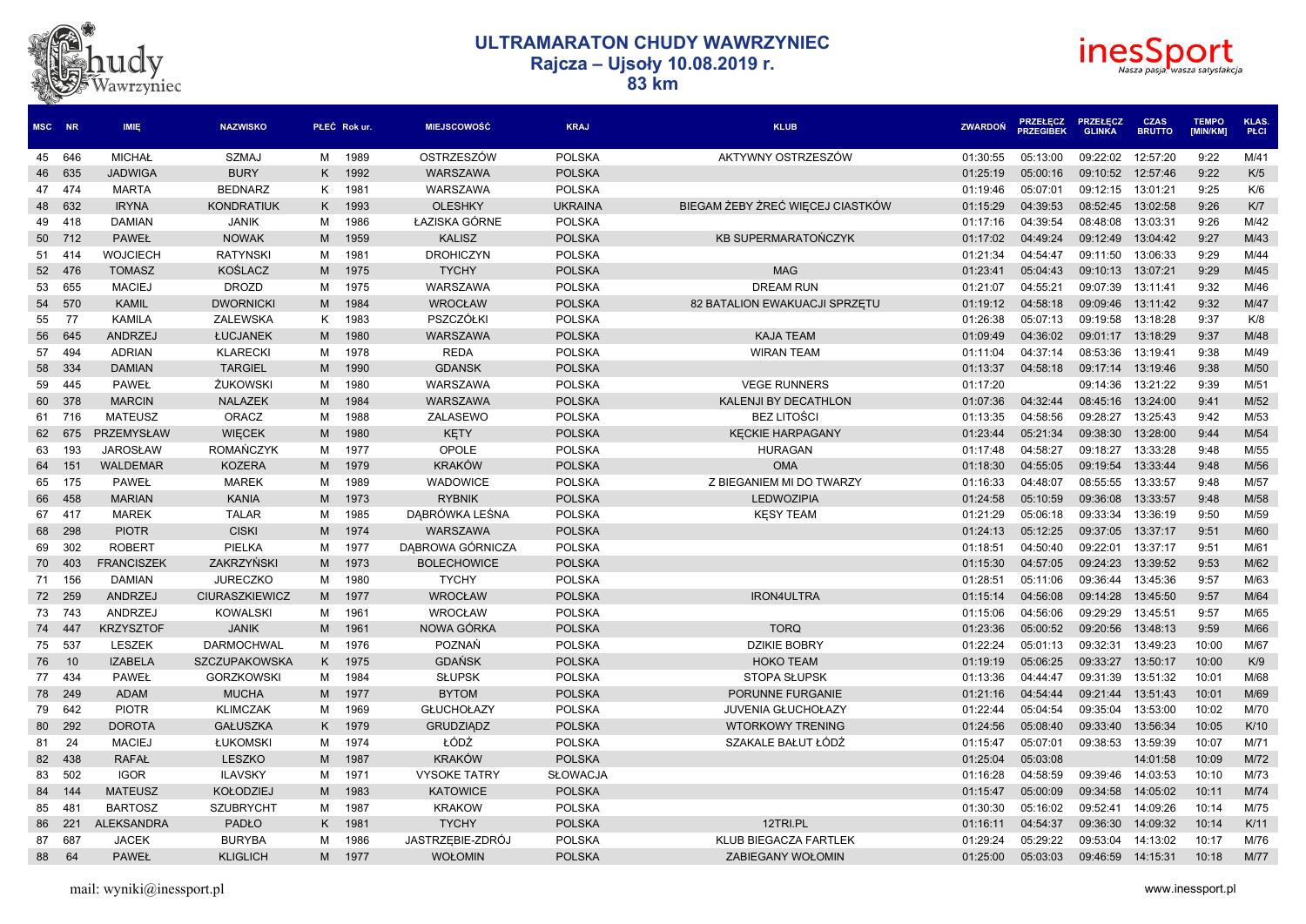



| MSC NR |        | <b>IMIE</b>       | <b>NAZWISKO</b>       |     | PŁEĆ Rok ur. | <b>MIEJSCOWOŚĆ</b>  | <b>KRAJ</b>     | <b>KLUB</b>                      | <b>ZWARDON</b> | <b>PRZEŁĘCZ</b><br>PRZEGIŘEK | <b>PRZEŁECZ</b><br><b>GLINKA</b> | <b>CZAS</b><br><b>BRUTTO</b> | <b>TEMPO</b><br>[MIN/KM] | <b>KLAS</b><br>PŁCI |
|--------|--------|-------------------|-----------------------|-----|--------------|---------------------|-----------------|----------------------------------|----------------|------------------------------|----------------------------------|------------------------------|--------------------------|---------------------|
|        | 45 646 | <b>MICHAŁ</b>     | <b>SZMAJ</b>          | м   | 1989         | OSTRZESZÓW          | <b>POLSKA</b>   | AKTYWNY OSTRZESZÓW               | 01:30:55       | 05:13:00                     | 09:22:02                         | 12:57:20                     | 9:22                     | M/41                |
|        | 46 635 | <b>JADWIGA</b>    | <b>BURY</b>           | K   | 1992         | <b>WARSZAWA</b>     | <b>POLSKA</b>   |                                  | 01:25:19       | 05:00:16                     | 09:10:52                         | 12:57:46                     | 9:22                     | K/5                 |
|        | 47 474 | <b>MARTA</b>      | <b>BEDNARZ</b>        | Κ   | 1981         | WARSZAWA            | <b>POLSKA</b>   |                                  | 01:19:46       | 05:07:01                     | 09:12:15                         | 13:01:21                     | 9:25                     | K/6                 |
|        | 48 632 | <b>IRYNA</b>      | <b>KONDRATIUK</b>     | K   | 1993         | <b>OLESHKY</b>      | <b>UKRAINA</b>  | BIEGAM ŻEBY ŻREĆ WIECEJ CIASTKÓW | 01:15:29       | 04:39:53                     | 08:52:45                         | 13:02:58                     | 9:26                     | K/7                 |
|        | 49 418 | <b>DAMIAN</b>     | <b>JANIK</b>          | м   | 1986         | ŁAZISKA GÓRNE       | <b>POLSKA</b>   |                                  | 01:17:16       | 04:39:54                     | 08:48:08                         | 13:03:31                     | 9:26                     | M/42                |
|        | 50 712 | <b>PAWEŁ</b>      | <b>NOWAK</b>          | M   | 1959         | <b>KALISZ</b>       | <b>POLSKA</b>   | <b>KB SUPERMARATOŃCZYK</b>       | 01:17:02       | 04:49:24                     | 09:12:49                         | 13:04:42                     | 9:27                     | M/43                |
|        | 51 414 | <b>WOJCIECH</b>   | <b>RATYNSKI</b>       | м   | 1981         | <b>DROHICZYN</b>    | <b>POLSKA</b>   |                                  | 01:21:34       | 04:54:47                     | 09:11:50                         | 13:06:33                     | 9:29                     | M/44                |
|        | 52 476 | <b>TOMASZ</b>     | <b>KOŚLACZ</b>        | M   | 1975         | <b>TYCHY</b>        | <b>POLSKA</b>   | <b>MAG</b>                       | 01:23:41       | 05:04:43                     | 09:10:13                         | 13:07:21                     | 9:29                     | M/45                |
| 53     | 655    | <b>MACIEJ</b>     | <b>DROZD</b>          | м   | 1975         | WARSZAWA            | <b>POLSKA</b>   | <b>DREAM RUN</b>                 | 01:21:07       | 04:55:21                     | 09:07:39                         | 13:11:41                     | 9:32                     | M/46                |
| 54     | 570    | <b>KAMIL</b>      | <b>DWORNICKI</b>      | M   | 1984         | <b>WROCŁAW</b>      | <b>POLSKA</b>   | 82 BATALION EWAKUACJI SPRZETU    | 01:19:12       | 04:58:18                     | 09:09:46                         | 13:11:42                     | 9:32                     | M/47                |
| 55     | 77     | <b>KAMILA</b>     | <b>ZALEWSKA</b>       | K   | 1983         | PSZCZÓŁKI           | <b>POLSKA</b>   |                                  | 01:26:38       | 05:07:13                     | 09:19:58                         | 13:18:28                     | 9:37                     | K/8                 |
|        | 56 645 | <b>ANDRZEJ</b>    | ŁUCJANEK              | M   | 1980         | WARSZAWA            | <b>POLSKA</b>   | <b>KAJA TEAM</b>                 | 01:09:49       | 04:36:02                     | 09:01:17                         | 13:18:29                     | 9:37                     | M/48                |
| 57     | 494    | <b>ADRIAN</b>     | <b>KLARECKI</b>       | м   | 1978         | <b>REDA</b>         | <b>POLSKA</b>   | <b>WIRAN TEAM</b>                | 01:11:04       | 04:37:14                     | 08:53:36                         | 13:19:41                     | 9:38                     | M/49                |
|        | 58 334 | <b>DAMIAN</b>     | <b>TARGIEL</b>        | M   | 1990         | <b>GDANSK</b>       | <b>POLSKA</b>   |                                  | 01:13:37       | 04:58:18                     | 09:17:14                         | 13:19:46                     | 9:38                     | M/50                |
|        | 59 445 | <b>PAWEŁ</b>      | <b>ŻUKOWSKI</b>       | м   | 1980         | WARSZAWA            | <b>POLSKA</b>   | <b>VEGE RUNNERS</b>              | 01:17:20       |                              | 09:14:36                         | 13:21:22                     | 9:39                     | M/51                |
|        | 60 378 | <b>MARCIN</b>     | <b>NALAZEK</b>        | M   | 1984         | WARSZAWA            | <b>POLSKA</b>   | <b>KALENJI BY DECATHLON</b>      | 01:07:36       | 04:32:44                     | 08:45:16                         | 13:24:00                     | 9:41                     | M/52                |
|        | 61 716 | <b>MATEUSZ</b>    | ORACZ                 | м   | 1988         | ZALASEWO            | <b>POLSKA</b>   | <b>BEZ LITOŚCI</b>               | 01:13:35       | 04:58:56                     | 09:28:27                         | 13:25:43                     | 9:42                     | M/53                |
|        | 62 675 | PRZEMYSŁAW        | <b>WIECEK</b>         | M   | 1980         | <b>KETY</b>         | <b>POLSKA</b>   | <b>KECKIE HARPAGANY</b>          | 01:23:44       | 05:21:34                     | 09:38:30                         | 13:28:00                     | 9:44                     | M/54                |
|        | 63 193 | <b>JAROSŁAW</b>   | <b>ROMAŃCZYK</b>      | м   | 1977         | OPOLE               | <b>POLSKA</b>   | <b>HURAGAN</b>                   | 01:17:48       | 04:58:27                     | 09:18:27                         | 13:33:28                     | 9:48                     | M/55                |
| 64     | 151    | <b>WALDEMAR</b>   | <b>KOZERA</b>         | M   | 1979         | <b>KRAKÓW</b>       | <b>POLSKA</b>   | <b>OMA</b>                       | 01:18:30       | 04:55:05                     | 09:19:54                         | 13:33:44                     | 9:48                     | M/56                |
|        | 65 175 | <b>PAWEŁ</b>      | <b>MAREK</b>          | м   | 1989         | <b>WADOWICE</b>     | <b>POLSKA</b>   | Z BIEGANIEM MI DO TWARZY         | 01:16:33       | 04:48:07                     | 08:55:55                         | 13:33:57                     | 9:48                     | M/57                |
|        | 66 458 | <b>MARIAN</b>     | <b>KANIA</b>          | M   | 1973         | <b>RYBNIK</b>       | <b>POLSKA</b>   | <b>LEDWOZIPIA</b>                | 01:24:58       | 05:10:59                     | 09:36:08                         | 13:33:57                     | 9:48                     | M/58                |
|        | 67 417 | <b>MAREK</b>      | <b>TALAR</b>          | м   | 1985         | DĄBRÓWKA LEŚNA      | <b>POLSKA</b>   | <b>KESY TEAM</b>                 | 01:21:29       | 05:06:18                     | 09:33:34                         | 13:36:19                     | 9:50                     | M/59                |
|        | 68 298 | <b>PIOTR</b>      | <b>CISKI</b>          | M   | 1974         | <b>WARSZAWA</b>     | <b>POLSKA</b>   |                                  | 01:24:13       | 05:12:25                     | 09:37:05                         | 13:37:17                     | 9:51                     | M/60                |
| 69     | 302    | <b>ROBERT</b>     | PIELKA                | м   | 1977         | DABROWA GÓRNICZA    | <b>POLSKA</b>   |                                  | 01:18:51       | 04:50:40                     | 09:22:01                         | 13:37:17                     | 9:51                     | M/61                |
|        | 70 403 | <b>FRANCISZEK</b> | <b>ZAKRZYŃSKI</b>     | M   | 1973         | <b>BOLECHOWICE</b>  | <b>POLSKA</b>   |                                  | 01:15:30       | 04:57:05                     | 09:24:23                         | 13:39:52                     | 9:53                     | M/62                |
|        | 71 156 | <b>DAMIAN</b>     | <b>JURECZKO</b>       | м   | 1980         | <b>TYCHY</b>        | <b>POLSKA</b>   |                                  | 01:28:51       | 05:11:06                     | 09:36:44                         | 13:45:36                     | 9:57                     | M/63                |
|        | 72 259 | ANDRZEJ           | <b>CIURASZKIEWICZ</b> | M   | 1977         | <b>WROCŁAW</b>      | <b>POLSKA</b>   | <b>IRON4ULTRA</b>                | 01:15:14       | 04:56:08                     | 09:14:28                         | 13:45:50                     | 9:57                     | M/64                |
|        | 73 743 | <b>ANDRZEJ</b>    | <b>KOWALSKI</b>       | м   | 1961         | WROCŁAW             | <b>POLSKA</b>   |                                  | 01:15:06       | 04:56:06                     | 09:29:29                         | 13:45:51                     | 9:57                     | M/65                |
|        | 74 447 | <b>KRZYSZTOF</b>  | <b>JANIK</b>          | M   | 1961         | NOWA GÓRKA          | <b>POLSKA</b>   | <b>TORQ</b>                      | 01:23:36       | 05:00:52                     | 09:20:56                         | 13:48:13                     | 9:59                     | M/66                |
|        | 75 537 | LESZEK            | <b>DARMOCHWAL</b>     | м   | 1976         | <b>POZNAŃ</b>       | <b>POLSKA</b>   | <b>DZIKIE BOBRY</b>              | 01:22:24       | 05:01:13                     | 09:32:31                         | 13:49:23                     | 10:00                    | M/67                |
| 76     | 10     | <b>IZABELA</b>    | SZCZUPAKOWSKA         | K   | 1975         | <b>GDAŃSK</b>       | <b>POLSKA</b>   | <b>HOKO TEAM</b>                 | 01:19:19       | 05:06:25                     | 09:33:27                         | 13:50:17                     | 10:00                    | K/9                 |
|        | 77 434 | <b>PAWEŁ</b>      | <b>GORZKOWSKI</b>     | м   | 1984         | <b>SŁUPSK</b>       | <b>POLSKA</b>   | <b>STOPA SŁUPSK</b>              | 01:13:36       | 04:44:47                     | 09:31:39                         | 13:51:32                     | 10:01                    | M/68                |
|        | 78 249 | <b>ADAM</b>       | <b>MUCHA</b>          | M   | 1977         | <b>BYTOM</b>        | <b>POLSKA</b>   | PORUNNE FURGANIE                 | 01:21:16       | 04:54:44                     | 09:21:44                         | 13:51:43                     | 10:01                    | M/69                |
|        | 79 642 | <b>PIOTR</b>      | <b>KLIMCZAK</b>       | м   | 1969         | <b>GŁUCHOŁAZY</b>   | <b>POLSKA</b>   | JUVENIA GŁUCHOŁAZY               | 01:22:44       | 05:04:54                     | 09:35:04                         | 13:53:00                     | 10:02                    | M/70                |
|        | 80 292 | <b>DOROTA</b>     | <b>GAŁUSZKA</b>       | K   | 1979         | <b>GRUDZIADZ</b>    | <b>POLSKA</b>   | <b>WTORKOWY TRENING</b>          | 01:24:56       | 05:08:40                     | 09:33:40                         | 13:56:34                     | 10:05                    | K/10                |
| 81     | 24     | <b>MACIEJ</b>     | ŁUKOMSKI              | м   | 1974         | ŁÓDŹ                | <b>POLSKA</b>   | SZAKALE BAŁUT ŁÓDŹ               | 01:15:47       | 05:07:01                     | 09:38:53                         | 13:59:39                     | 10:07                    | M/71                |
|        | 82 438 | <b>RAFAŁ</b>      | LESZKO                | M   | 1987         | <b>KRAKÓW</b>       | <b>POLSKA</b>   |                                  | 01:25:04       | 05:03:08                     |                                  | 14:01:58                     | 10:09                    | M/72                |
| 83     | 502    | <b>IGOR</b>       | <b>ILAVSKY</b>        | м   | 1971         | <b>VYSOKE TATRY</b> | <b>SŁOWACJA</b> |                                  | 01:16:28       | 04:58:59                     | 09:39:46                         | 14:03:53                     | 10:10                    | M/73                |
| 84     | 144    | <b>MATEUSZ</b>    | <b>KOŁODZIEJ</b>      | M   | 1983         | <b>KATOWICE</b>     | <b>POLSKA</b>   |                                  | 01:15:47       | 05:00:09                     | 09:34:58                         | 14:05:02                     | 10:11                    | M/74                |
| 85     | 481    | <b>BARTOSZ</b>    | <b>SZUBRYCHT</b>      | м   | 1987         | <b>KRAKOW</b>       | <b>POLSKA</b>   |                                  | 01:30:30       | 05:16:02                     | 09:52:41                         | 14:09:26                     | 10:14                    | M/75                |
| 86     | 221    | <b>ALEKSANDRA</b> | <b>PADŁO</b>          | K   | 1981         | <b>TYCHY</b>        | <b>POLSKA</b>   | 12TRI.PL                         | 01:16:11       | 04:54:37                     | 09:36:30                         | 14:09:32                     | 10:14                    | K/11                |
| 87     | 687    | <b>JACEK</b>      | <b>BURYBA</b>         | м   | 1986         | JASTRZEBIE-ZDRÓJ    | <b>POLSKA</b>   | <b>KLUB BIEGACZA FARTLEK</b>     | 01:29:24       | 05:29:22                     | 09:53:04                         | 14:13:02                     | 10:17                    | M/76                |
| 88     | 64     | <b>PAWEŁ</b>      | <b>KLIGLICH</b>       | M - | 1977         | <b>WOŁOMIN</b>      | <b>POLSKA</b>   | <b>ZABIEGANY WOŁOMIN</b>         | 01:25:00       | 05:03:03                     | 09:46:59                         | 14:15:31                     | 10:18                    | <b>M/77</b>         |
|        |        |                   |                       |     |              |                     |                 |                                  |                |                              |                                  |                              |                          |                     |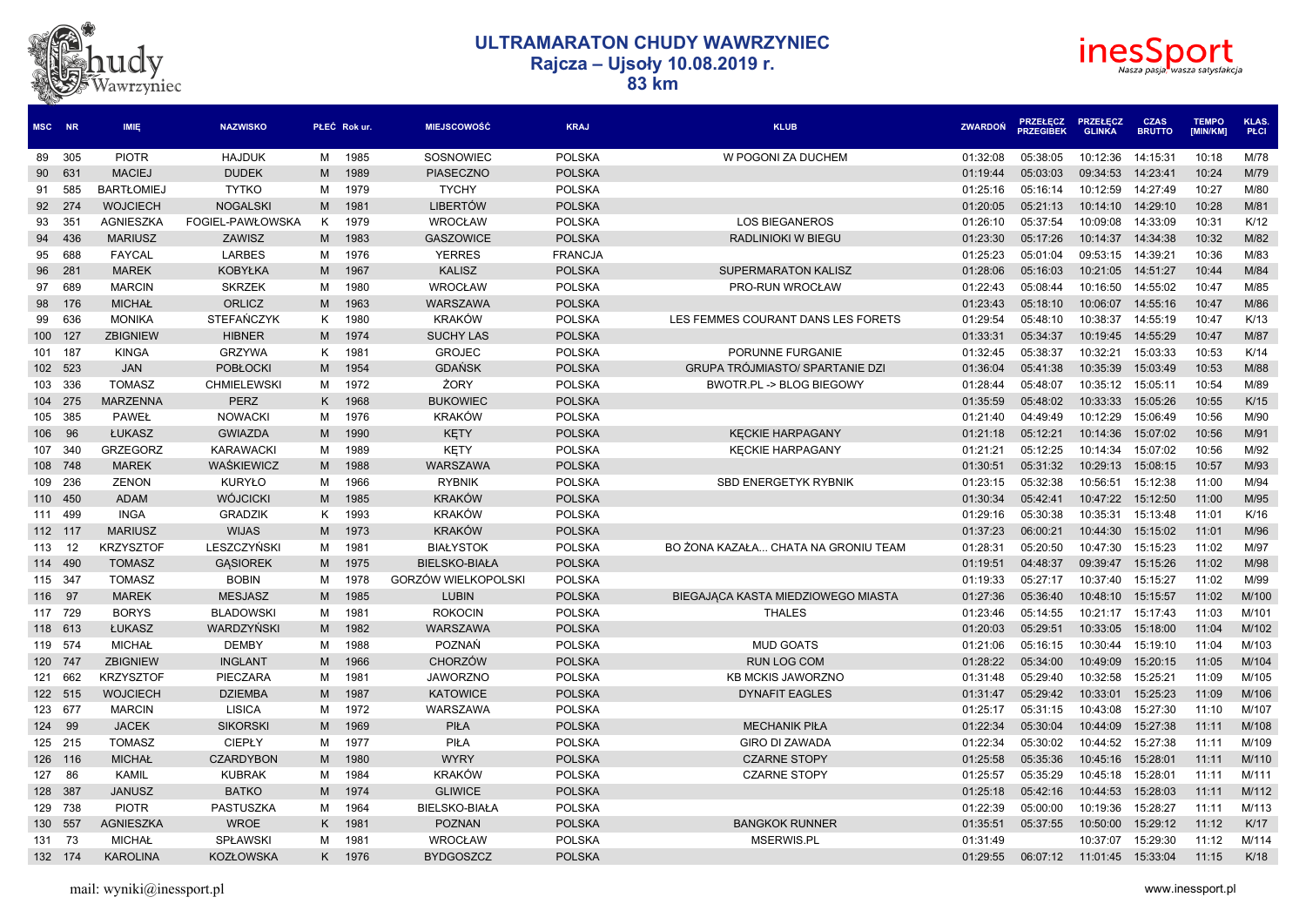



| MSC NR  |         | <b>IMIE</b>       | <b>NAZWISKO</b>    |   | PŁEĆ Rok ur. | <b>MIEJSCOWOŚĆ</b>   | <b>KRAJ</b>    | <b>KLUB</b>                            | <b>ZWARDON</b> | <b>PRZEŁĘCZ</b><br><b>PRZEGIBEK</b> | <b>PRZEŁECZ</b><br><b>GLINKA</b> | <b>CZAS</b><br><b>BRUTTO</b> | <b>TEMPO</b><br>[MIN/KM] | <b>KLAS</b><br>PŁCI |
|---------|---------|-------------------|--------------------|---|--------------|----------------------|----------------|----------------------------------------|----------------|-------------------------------------|----------------------------------|------------------------------|--------------------------|---------------------|
|         | 89 305  | <b>PIOTR</b>      | <b>HAJDUK</b>      | м | 1985         | SOSNOWIEC            | <b>POLSKA</b>  | W POGONI ZA DUCHEM                     | 01:32:08       | 05:38:05                            | 10:12:36                         | 14:15:31                     | 10:18                    | M/78                |
|         | 90 631  | <b>MACIEJ</b>     | <b>DUDEK</b>       | M | 1989         | <b>PIASECZNO</b>     | <b>POLSKA</b>  |                                        | 01:19:44       | 05:03:03                            | 09:34:53                         | 14:23:41                     | 10:24                    | M/79                |
| 91      | 585     | <b>BARTŁOMIEJ</b> | <b>TYTKO</b>       | м | 1979         | <b>TYCHY</b>         | <b>POLSKA</b>  |                                        | 01:25:16       | 05:16:14                            | 10:12:59                         | 14:27:49                     | 10:27                    | M/80                |
|         | 92 274  | <b>WOJCIECH</b>   | <b>NOGALSKI</b>    | M | 1981         | <b>LIBERTÓW</b>      | <b>POLSKA</b>  |                                        | 01:20:05       | 05:21:13                            | 10:14:10                         | 14:29:10                     | 10:28                    | M/81                |
| 93      | 351     | <b>AGNIESZKA</b>  | FOGIEL-PAWŁOWSKA   | K | 1979         | <b>WROCŁAW</b>       | <b>POLSKA</b>  | <b>LOS BIEGANEROS</b>                  | 01:26:10       | 05:37:54                            | 10:09:08                         | 14:33:09                     | 10:31                    | K/12                |
| 94      | 436     | <b>MARIUSZ</b>    | ZAWISZ             | M | 1983         | <b>GASZOWICE</b>     | <b>POLSKA</b>  | RADLINIOKI W BIEGU                     | 01:23:30       | 05:17:26                            | 10:14:37                         | 14:34:38                     | 10:32                    | M/82                |
| 95      | 688     | <b>FAYCAL</b>     | <b>LARBES</b>      | м | 1976         | <b>YERRES</b>        | <b>FRANCJA</b> |                                        | 01:25:23       | 05:01:04                            | 09:53:15                         | 14:39:21                     | 10:36                    | M/83                |
|         | 96 281  | <b>MAREK</b>      | <b>KOBYŁKA</b>     | M | 1967         | <b>KALISZ</b>        | <b>POLSKA</b>  | SUPERMARATON KALISZ                    | 01:28:06       | 05:16:03                            | 10:21:05                         | 14:51:27                     | 10:44                    | M/84                |
| 97      | 689     | <b>MARCIN</b>     | <b>SKRZEK</b>      | м | 1980         | WROCŁAW              | <b>POLSKA</b>  | PRO-RUN WROCŁAW                        | 01:22:43       | 05:08:44                            | 10:16:50                         | 14:55:02                     | 10:47                    | M/85                |
| 98      | 176     | <b>MICHAŁ</b>     | <b>ORLICZ</b>      | M | 1963         | WARSZAWA             | <b>POLSKA</b>  |                                        | 01:23:43       | 05:18:10                            | 10:06:07                         | 14:55:16                     | 10:47                    | M/86                |
| 99      | 636     | <b>MONIKA</b>     | <b>STEFAŃCZYK</b>  | K | 1980         | <b>KRAKÓW</b>        | <b>POLSKA</b>  | LES FEMMES COURANT DANS LES FORETS     | 01:29:54       | 05:48:10                            | 10:38:37                         | 14:55:19                     | 10:47                    | K/13                |
| 100 127 |         | <b>ZBIGNIEW</b>   | <b>HIBNER</b>      | M | 1974         | <b>SUCHY LAS</b>     | <b>POLSKA</b>  |                                        | 01:33:31       | 05:34:37                            | 10:19:45                         | 14:55:29                     | 10:47                    | M/87                |
| 101 187 |         | <b>KINGA</b>      | <b>GRZYWA</b>      | Κ | 1981         | <b>GROJEC</b>        | <b>POLSKA</b>  | PORUNNE FURGANIE                       | 01:32:45       | 05:38:37                            | 10:32:21                         | 15:03:33                     | 10:53                    | K/14                |
|         | 102 523 | <b>JAN</b>        | <b>POBŁOCKI</b>    | M | 1954         | <b>GDAŃSK</b>        | <b>POLSKA</b>  | <b>GRUPA TRÓJMIASTO/ SPARTANIE DZI</b> | 01:36:04       | 05:41:38                            | 10:35:39                         | 15:03:49                     | 10:53                    | M/88                |
|         | 103 336 | <b>TOMASZ</b>     | <b>CHMIELEWSKI</b> | м | 1972         | ŻORY                 | <b>POLSKA</b>  | BWOTR.PL -> BLOG BIEGOWY               | 01:28:44       | 05:48:07                            | 10:35:12                         | 15:05:11                     | 10:54                    | M/89                |
|         | 104 275 | <b>MARZENNA</b>   | <b>PERZ</b>        | K | 1968         | <b>BUKOWIEC</b>      | <b>POLSKA</b>  |                                        | 01:35:59       | 05:48:02                            | 10:33:33                         | 15:05:26                     | 10:55                    | K/15                |
|         | 105 385 | <b>PAWEŁ</b>      | <b>NOWACKI</b>     | м | 1976         | KRAKÓW               | <b>POLSKA</b>  |                                        | 01:21:40       | 04:49:49                            | 10:12:29                         | 15:06:49                     | 10:56                    | M/90                |
| 106     | 96      | ŁUKASZ            | <b>GWIAZDA</b>     | M | 1990         | KĘTY                 | <b>POLSKA</b>  | <b>KECKIE HARPAGANY</b>                | 01:21:18       | 05:12:21                            | 10:14:36                         | 15:07:02                     | 10:56                    | M/91                |
|         | 107 340 | <b>GRZEGORZ</b>   | <b>KARAWACKI</b>   | M | 1989         | <b>KETY</b>          | <b>POLSKA</b>  | <b>KECKIE HARPAGANY</b>                | 01:21:21       | 05:12:25                            | 10:14:34                         | 15:07:02                     | 10:56                    | M/92                |
|         | 108 748 | <b>MAREK</b>      | WAŚKIEWICZ         | M | 1988         | WARSZAWA             | <b>POLSKA</b>  |                                        | 01:30:51       | 05:31:32                            | 10:29:13                         | 15:08:15                     | 10:57                    | M/93                |
|         | 109 236 | <b>ZENON</b>      | KURYŁO             | м | 1966         | <b>RYBNIK</b>        | <b>POLSKA</b>  | <b>SBD ENERGETYK RYBNIK</b>            | 01:23:15       | 05:32:38                            | 10:56:51                         | 15:12:38                     | 11:00                    | M/94                |
| 110 450 |         | <b>ADAM</b>       | <b>WÓJCICKI</b>    | M | 1985         | KRAKÓW               | <b>POLSKA</b>  |                                        | 01:30:34       | 05:42:41                            | 10:47:22                         | 15:12:50                     | 11:00                    | M/95                |
|         | 111 499 | <b>INGA</b>       | <b>GRADZIK</b>     | K | 1993         | <b>KRAKÓW</b>        | <b>POLSKA</b>  |                                        | 01:29:16       | 05:30:38                            | 10:35:31                         | 15:13:48                     | 11:01                    | K/16                |
| 112 117 |         | <b>MARIUSZ</b>    | <b>WIJAS</b>       | M | 1973         | KRAKÓW               | <b>POLSKA</b>  |                                        | 01:37:23       | 06:00:21                            | 10:44:30                         | 15:15:02                     | 11:01                    | M/96                |
| 113 12  |         | <b>KRZYSZTOF</b>  | LESZCZYŃSKI        | M | 1981         | <b>BIAŁYSTOK</b>     | <b>POLSKA</b>  | BO ŻONA KAZAŁA CHATA NA GRONIU TEAM    | 01:28:31       | 05:20:50                            | 10:47:30                         | 15:15:23                     | 11:02                    | M/97                |
| 114 490 |         | <b>TOMASZ</b>     | <b>GASIOREK</b>    | M | 1975         | <b>BIELSKO-BIAŁA</b> | <b>POLSKA</b>  |                                        | 01:19:51       | 04:48:37                            | 09:39:47                         | 15:15:26                     | 11:02                    | M/98                |
| 115 347 |         | <b>TOMASZ</b>     | <b>BOBIN</b>       | м | 1978         | GORZÓW WIELKOPOLSKI  | <b>POLSKA</b>  |                                        | 01:19:33       | 05:27:17                            | 10:37:40                         | 15:15:27                     | 11:02                    | M/99                |
| 116     | 97      | <b>MAREK</b>      | <b>MESJASZ</b>     | M | 1985         | <b>LUBIN</b>         | <b>POLSKA</b>  | BIEGAJACA KASTA MIEDZIOWEGO MIASTA     | 01:27:36       | 05:36:40                            | 10:48:10                         | 15:15:57                     | 11:02                    | M/100               |
|         | 117 729 | <b>BORYS</b>      | <b>BLADOWSKI</b>   | M | 1981         | <b>ROKOCIN</b>       | <b>POLSKA</b>  | <b>THALES</b>                          | 01:23:46       | 05:14:55                            | 10:21:17                         | 15:17:43                     | 11:03                    | M/101               |
|         | 118 613 | ŁUKASZ            | WARDZYŃSKI         | M | 1982         | <b>WARSZAWA</b>      | <b>POLSKA</b>  |                                        | 01:20:03       | 05:29:51                            | 10:33:05                         | 15:18:00                     | 11:04                    | M/102               |
| 119 574 |         | <b>MICHAŁ</b>     | <b>DEMBY</b>       | м | 1988         | POZNAŃ               | <b>POLSKA</b>  | <b>MUD GOATS</b>                       | 01:21:06       | 05:16:15                            | 10:30:44                         | 15:19:10                     | 11:04                    | M/103               |
| 120 747 |         | <b>ZBIGNIEW</b>   | <b>INGLANT</b>     | M | 1966         | <b>CHORZÓW</b>       | <b>POLSKA</b>  | <b>RUN LOG COM</b>                     | 01:28:22       | 05:34:00                            | 10:49:09                         | 15:20:15                     | 11:05                    | M/104               |
|         | 121 662 | <b>KRZYSZTOF</b>  | PIECZARA           | м | 1981         | <b>JAWORZNO</b>      | <b>POLSKA</b>  | <b>KB MCKIS JAWORZNO</b>               | 01:31:48       | 05:29:40                            | 10:32:58                         | 15:25:21                     | 11:09                    | M/105               |
|         | 122 515 | <b>WOJCIECH</b>   | <b>DZIEMBA</b>     | M | 1987         | <b>KATOWICE</b>      | <b>POLSKA</b>  | <b>DYNAFIT EAGLES</b>                  | 01:31:47       | 05:29:42                            | 10:33:01                         | 15:25:23                     | 11:09                    | M/106               |
| 123 677 |         | <b>MARCIN</b>     | <b>LISICA</b>      | M | 1972         | WARSZAWA             | <b>POLSKA</b>  |                                        | 01:25:17       | 05:31:15                            | 10:43:08                         | 15:27:30                     | 11:10                    | M/107               |
| 124     | 99      | <b>JACEK</b>      | <b>SIKORSKI</b>    | M | 1969         | <b>PIŁA</b>          | <b>POLSKA</b>  | <b>MECHANIK PIŁA</b>                   | 01:22:34       | 05:30:04                            | 10:44:09                         | 15:27:38                     | 11:11                    | M/108               |
|         | 125 215 | <b>TOMASZ</b>     | <b>CIEPŁY</b>      | м | 1977         | PIŁA                 | <b>POLSKA</b>  | <b>GIRO DI ZAWADA</b>                  | 01:22:34       | 05:30:02                            | 10:44:52                         | 15:27:38                     | 11:11                    | M/109               |
|         | 126 116 | <b>MICHAŁ</b>     | <b>CZARDYBON</b>   | M | 1980         | <b>WYRY</b>          | <b>POLSKA</b>  | <b>CZARNE STOPY</b>                    | 01:25:58       | 05:35:36                            | 10:45:16                         | 15:28:01                     | 11:11                    | M/110               |
| 127     | 86      | <b>KAMIL</b>      | <b>KUBRAK</b>      | м | 1984         | KRAKÓW               | <b>POLSKA</b>  | <b>CZARNE STOPY</b>                    | 01:25:57       | 05:35:29                            | 10:45:18                         | 15:28:01                     | 11:11                    | M/111               |
| 128 387 |         | <b>JANUSZ</b>     | <b>BATKO</b>       | M | 1974         | <b>GLIWICE</b>       | <b>POLSKA</b>  |                                        | 01:25:18       | 05:42:16                            | 10:44:53                         | 15:28:03                     | 11:11                    | M/112               |
|         | 129 738 | <b>PIOTR</b>      | PASTUSZKA          | M | 1964         | <b>BIELSKO-BIAŁA</b> | <b>POLSKA</b>  |                                        | 01:22:39       | 05:00:00                            | 10:19:36                         | 15:28:27                     | 11:11                    | M/113               |
| 130 557 |         | <b>AGNIESZKA</b>  | <b>WROE</b>        | K | 1981         | <b>POZNAN</b>        | <b>POLSKA</b>  | <b>BANGKOK RUNNER</b>                  | 01:35:51       | 05:37:55                            | 10:50:00                         | 15:29:12                     | 11:12                    | K/17                |
| 131     | 73      | <b>MICHAŁ</b>     | <b>SPŁAWSKI</b>    | м | 1981         | <b>WROCŁAW</b>       | <b>POLSKA</b>  | MSERWIS.PL                             | 01:31:49       |                                     | 10:37:07                         | 15:29:30                     | 11:12                    | M/114               |
|         | 132 174 | <b>KAROLINA</b>   | <b>KOZŁOWSKA</b>   | K | 1976         | <b>BYDGOSZCZ</b>     | <b>POLSKA</b>  |                                        | 01:29:55       | 06:07:12                            | 11:01:45                         | 15:33:04                     | 11:15                    | K/18                |
|         |         |                   |                    |   |              |                      |                |                                        |                |                                     |                                  |                              |                          |                     |